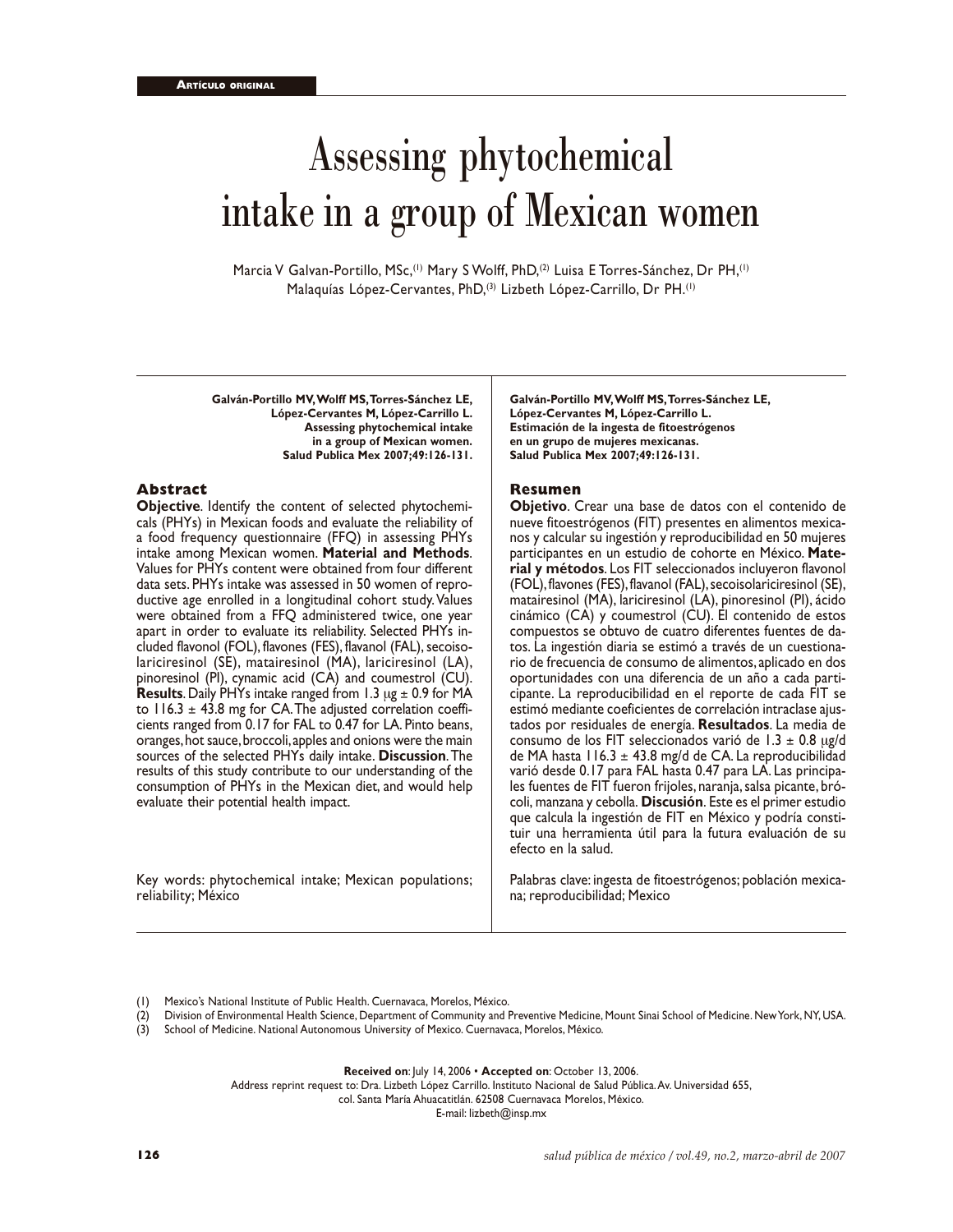# Assessing phytochemical intake in a group of Mexican women

Marcia V Galvan-Portillo, MSc,<sup>(1)</sup> Mary S Wolff, PhD,<sup>(2)</sup> Luisa E Torres-Sánchez, Dr PH,<sup>(1)</sup> Malaquías López-Cervantes, PhD,<sup>(3)</sup> Lizbeth López-Carrillo, Dr PH.<sup>(1)</sup>

**Galván-Portillo MV, Wolff MS, Torres-Sánchez LE, López-Cervantes M, López-Carrillo L. Assessing phytochemical intake in a group of Mexican women. Salud Publica Mex 2007;49:126-131.**

#### **Abstract**

**Objective**. Identify the content of selected phytochemicals (PHYs) in Mexican foods and evaluate the reliability of a food frequency questionnaire (FFQ) in assessing PHYs intake among Mexican women. **Material and Methods**. Values for PHYs content were obtained from four different data sets. PHYs intake was assessed in 50 women of reproductive age enrolled in a longitudinal cohort study. Values were obtained from a FFQ administered twice, one year apart in order to evaluate its reliability. Selected PHYs included flavonol (FOL), flavones (FES), flavanol (FAL), secoisolariciresinol (SE), matairesinol (MA), lariciresinol (LA), pinoresinol (PI), cynamic acid (CA) and coumestrol (CU). **Results**. Daily PHYs intake ranged from 1.3 µg ± 0.9 for MA to 116.3  $\pm$  43.8 mg for CA. The adjusted correlation coefficients ranged from 0.17 for FAL to 0.47 for LA. Pinto beans, oranges, hot sauce, broccoli, apples and onions were the main sources of the selected PHYs daily intake. **Discussion**. The results of this study contribute to our understanding of the consumption of PHYs in the Mexican diet, and would help evaluate their potential health impact.

Key words: phytochemical intake; Mexican populations; reliability; México

**Galván-Portillo MV, Wolff MS, Torres-Sánchez LE, López-Cervantes M, López-Carrillo L. Estimación de la ingesta de fitoestrógenos en un grupo de mujeres mexicanas. Salud Publica Mex 2007;49:126-131.**

## **Resumen**

**Objetivo**. Crear una base de datos con el contenido de nueve fitoestrógenos (FIT) presentes en alimentos mexicanos y calcular su ingestión y reproducibilidad en 50 mujeres participantes en un estudio de cohorte en México. **Material y métodos**. Los FIT seleccionados incluyeron flavonol (FOL), flavones (FES), flavanol (FAL), secoisolariciresinol (SE), matairesinol (MA), lariciresinol (LA), pinoresinol (PI), ácido cinámico (CA) y coumestrol (CU). El contenido de estos compuestos se obtuvo de cuatro diferentes fuentes de datos. La ingestión diaria se estimó a través de un cuestionario de frecuencia de consumo de alimentos, aplicado en dos oportunidades con una diferencia de un año a cada participante. La reproducibilidad en el reporte de cada FIT se estimó mediante coeficientes de correlación intraclase ajustados por residuales de energía. **Resultados**. La media de consumo de los FIT seleccionados varió de 1.3  $\pm$  0.8 µg/d de MA hasta 116.3  $\pm$  43.8 mg/d de CA. La reproducibilidad varió desde 0.17 para FAL hasta 0.47 para LA. Las principales fuentes de FIT fueron frijoles, naranja, salsa picante, brócoli, manzana y cebolla. **Discusión**. Este es el primer estudio que calcula la ingestión de FIT en México y podría constituir una herramienta útil para la futura evaluación de su efecto en la salud.

Palabras clave: ingesta de fitoestrógenos; población mexicana; reproducibilidad; Mexico

- Mexico's National Institute of Public Health. Cuernavaca, Morelos, México.
- (2) Division of Environmental Health Science, Department of Community and Preventive Medicine, Mount Sinai School of Medicine. New York, NY, USA.
- (3) School of Medicine. National Autonomous University of Mexico. Cuernavaca, Morelos, México.

**Received on**: July 14, 2006 • **Accepted on**: October 13, 2006.

Address reprint request to: Dra. Lizbeth López Carrillo. Instituto Nacional de Salud Pública. Av. Universidad 655,

col. Santa María Ahuacatitlán. 62508 Cuernavaca Morelos, México.

E-mail: lizbeth@insp.mx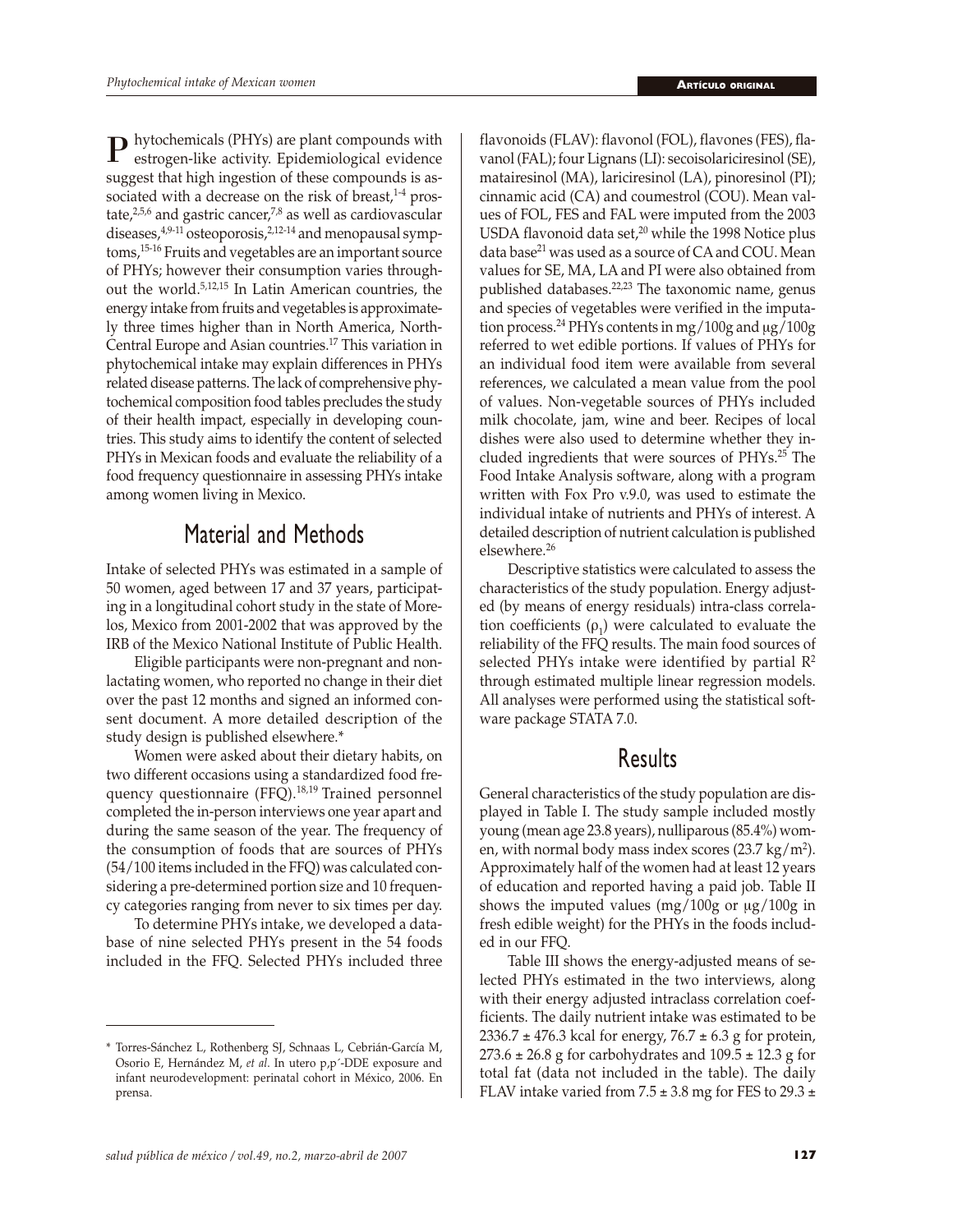$\mathbf{P}$  hytochemicals (PHYs) are plant compounds with estrogen-like activity. Epidemiological evidence suggest that high ingestion of these compounds is associated with a decrease on the risk of breast, $1-4$  prostate, $25,6$  and gastric cancer, $7,8$  as well as cardiovascular diseases, $49-11$  osteoporosis, $2,12-14$  and menopausal symptoms,15-16 Fruits and vegetables are an important source of PHYs; however their consumption varies throughout the world.5,12,15 In Latin American countries, the energy intake from fruits and vegetables is approximately three times higher than in North America, North-Central Europe and Asian countries.17 This variation in phytochemical intake may explain differences in PHYs related disease patterns. The lack of comprehensive phytochemical composition food tables precludes the study of their health impact, especially in developing countries. This study aims to identify the content of selected PHYs in Mexican foods and evaluate the reliability of a food frequency questionnaire in assessing PHYs intake among women living in Mexico.

# Material and Methods

Intake of selected PHYs was estimated in a sample of 50 women, aged between 17 and 37 years, participating in a longitudinal cohort study in the state of Morelos, Mexico from 2001-2002 that was approved by the IRB of the Mexico National Institute of Public Health.

Eligible participants were non-pregnant and nonlactating women, who reported no change in their diet over the past 12 months and signed an informed consent document. A more detailed description of the study design is published elsewhere.\*

Women were asked about their dietary habits, on two different occasions using a standardized food frequency questionnaire (FFQ).<sup>18,19</sup> Trained personnel completed the in-person interviews one year apart and during the same season of the year. The frequency of the consumption of foods that are sources of PHYs (54/100 items included in the FFQ) was calculated considering a pre-determined portion size and 10 frequency categories ranging from never to six times per day.

To determine PHYs intake, we developed a database of nine selected PHYs present in the 54 foods included in the FFQ. Selected PHYs included three flavonoids (FLAV): flavonol (FOL), flavones (FES), flavanol (FAL); four Lignans (LI): secoisolariciresinol (SE), matairesinol (MA), lariciresinol (LA), pinoresinol (PI); cinnamic acid (CA) and coumestrol (COU). Mean values of FOL, FES and FAL were imputed from the 2003 USDA flavonoid data set, $20$  while the 1998 Notice plus data base<sup>21</sup> was used as a source of CA and COU. Mean values for SE, MA, LA and PI were also obtained from published databases.<sup>22,23</sup> The taxonomic name, genus and species of vegetables were verified in the imputation process.<sup>24</sup> PHYs contents in mg/100g and  $\mu$ g/100g referred to wet edible portions. If values of PHYs for an individual food item were available from several references, we calculated a mean value from the pool of values. Non-vegetable sources of PHYs included milk chocolate, jam, wine and beer. Recipes of local dishes were also used to determine whether they included ingredients that were sources of PHYs.25 The Food Intake Analysis software, along with a program written with Fox Pro v.9.0, was used to estimate the individual intake of nutrients and PHYs of interest. A detailed description of nutrient calculation is published elsewhere.<sup>26</sup>

Descriptive statistics were calculated to assess the characteristics of the study population. Energy adjusted (by means of energy residuals) intra-class correlation coefficients ( $\rho_1$ ) were calculated to evaluate the reliability of the FFQ results. The main food sources of selected PHYs intake were identified by partial  $\mathbb{R}^2$ through estimated multiple linear regression models. All analyses were performed using the statistical software package STATA 7.0.

## Results

General characteristics of the study population are displayed in Table I. The study sample included mostly young (mean age 23.8 years), nulliparous (85.4%) women, with normal body mass index scores  $(23.7 \text{ kg/m}^2)$ . Approximately half of the women had at least 12 years of education and reported having a paid job. Table II shows the imputed values  $(mg/100g)$  or  $\mu$ g/100g in fresh edible weight) for the PHYs in the foods included in our FFQ.

Table III shows the energy-adjusted means of selected PHYs estimated in the two interviews, along with their energy adjusted intraclass correlation coefficients. The daily nutrient intake was estimated to be  $2336.7 \pm 476.3$  kcal for energy,  $76.7 \pm 6.3$  g for protein,  $273.6 \pm 26.8$  g for carbohydrates and  $109.5 \pm 12.3$  g for total fat (data not included in the table). The daily FLAV intake varied from  $7.5 \pm 3.8$  mg for FES to 29.3  $\pm$ 

<sup>\*</sup> Torres-Sánchez L, Rothenberg SJ, Schnaas L, Cebrián-García M, Osorio E, Hernández M, *et al*. In utero p,p´-DDE exposure and infant neurodevelopment: perinatal cohort in México, 2006. En prensa.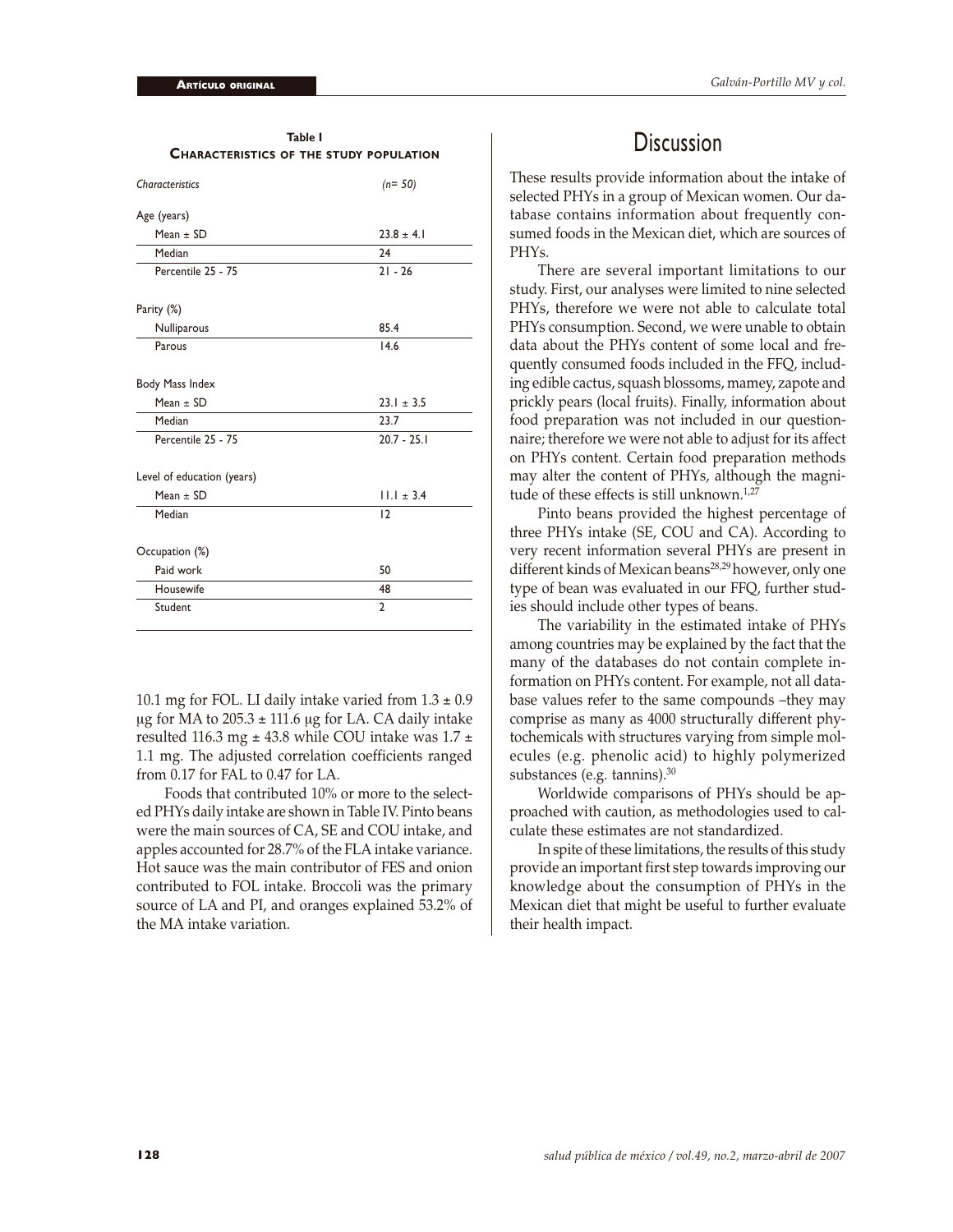| <b>CHARACTERISTICS OF THE STUDY POPULATION</b> |                |
|------------------------------------------------|----------------|
| Characteristics                                | $(n=50)$       |
| Age (years)                                    |                |
| Mean $\pm$ SD                                  | $23.8 \pm 4.1$ |
| Median                                         | 74             |
| Percentile 25 - 75                             | $21 - 26$      |
| Parity (%)                                     |                |
| Nulliparous                                    | 85.4           |
| Parous                                         | 14.6           |
| Body Mass Index                                |                |
| Mean $\pm$ SD                                  | $23.1 \pm 3.5$ |
| Median                                         | 23.7           |
| Percentile 25 - 75                             | $20.7 - 25.1$  |
| Level of education (years)                     |                |
| Mean $\pm$ SD                                  | $11.1 \pm 3.4$ |
| Median                                         | 12             |
| Occupation (%)                                 |                |
| Paid work                                      | 50             |
| Housewife                                      | 48             |
| Student                                        | $\overline{2}$ |

**Table I**

10.1 mg for FOL. LI daily intake varied from  $1.3 \pm 0.9$  $\mu$ g for MA to 205.3 ± 111.6  $\mu$ g for LA. CA daily intake resulted 116.3 mg  $\pm$  43.8 while COU intake was 1.7  $\pm$ 1.1 mg. The adjusted correlation coefficients ranged from 0.17 for FAL to 0.47 for LA.

Foods that contributed 10% or more to the selected PHYs daily intake are shown in Table IV. Pinto beans were the main sources of CA, SE and COU intake, and apples accounted for 28.7% of the FLA intake variance. Hot sauce was the main contributor of FES and onion contributed to FOL intake. Broccoli was the primary source of LA and PI, and oranges explained 53.2% of the MA intake variation.

## **Discussion**

These results provide information about the intake of selected PHYs in a group of Mexican women. Our database contains information about frequently consumed foods in the Mexican diet, which are sources of PHYs.

There are several important limitations to our study. First, our analyses were limited to nine selected PHYs, therefore we were not able to calculate total PHYs consumption. Second, we were unable to obtain data about the PHYs content of some local and frequently consumed foods included in the FFQ, including edible cactus, squash blossoms, mamey, zapote and prickly pears (local fruits). Finally, information about food preparation was not included in our questionnaire; therefore we were not able to adjust for its affect on PHYs content. Certain food preparation methods may alter the content of PHYs, although the magnitude of these effects is still unknown.<sup>1,27</sup>

Pinto beans provided the highest percentage of three PHYs intake (SE, COU and CA). According to very recent information several PHYs are present in different kinds of Mexican beans<sup>28,29</sup> however, only one type of bean was evaluated in our FFQ, further studies should include other types of beans.

The variability in the estimated intake of PHYs among countries may be explained by the fact that the many of the databases do not contain complete information on PHYs content. For example, not all database values refer to the same compounds –they may comprise as many as 4000 structurally different phytochemicals with structures varying from simple molecules (e.g. phenolic acid) to highly polymerized substances (e.g. tannins).<sup>30</sup>

Worldwide comparisons of PHYs should be approached with caution, as methodologies used to calculate these estimates are not standardized.

In spite of these limitations, the results of this study provide an important first step towards improving our knowledge about the consumption of PHYs in the Mexican diet that might be useful to further evaluate their health impact.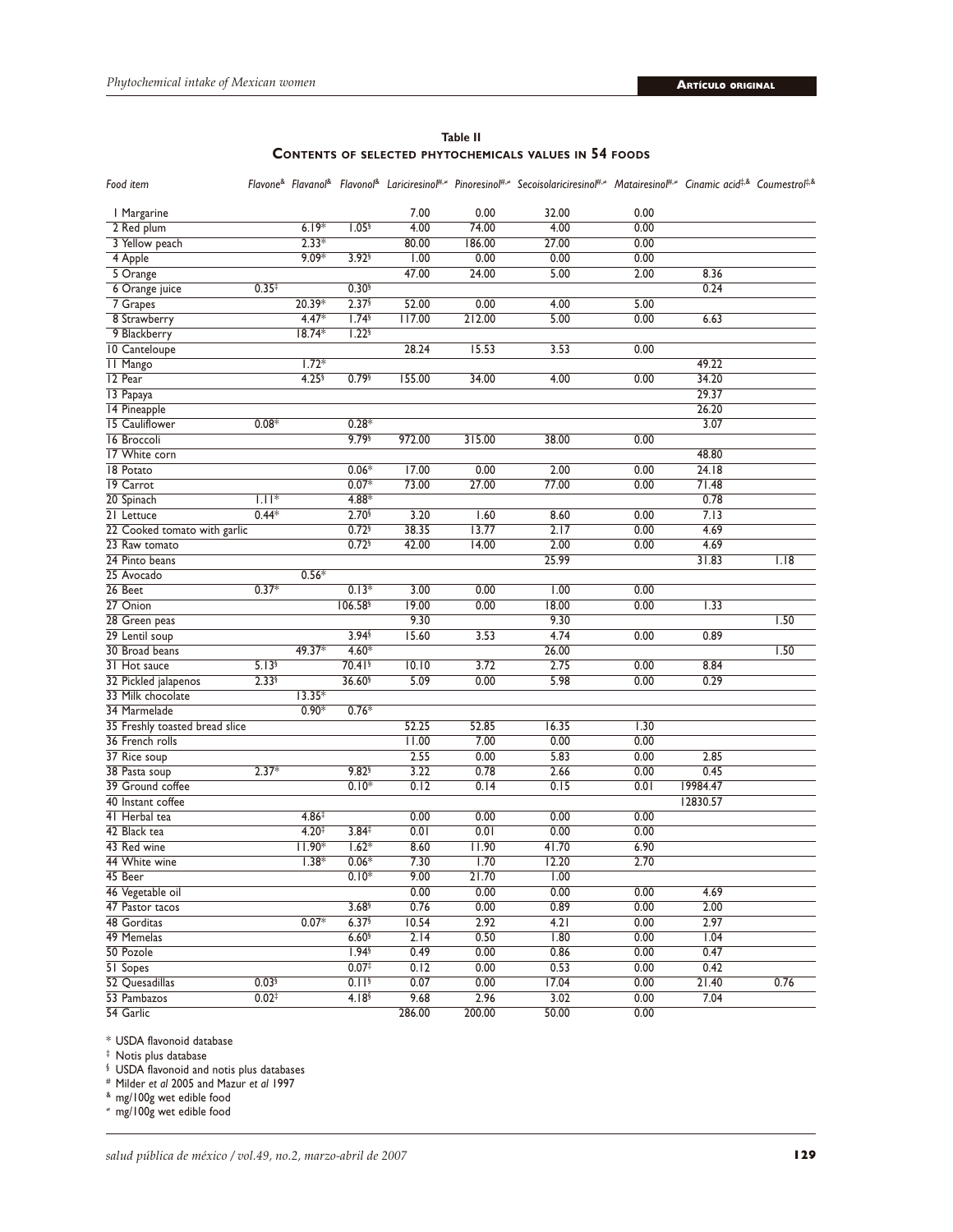|  | Table II                                                      |  |
|--|---------------------------------------------------------------|--|
|  | <b>CONTENTS OF SELECTED PHYTOCHEMICALS VALUES IN 54 FOODS</b> |  |

| Food item                                     |                     |                   |                      |        |        | Flavone <sup>&amp;</sup> Flavanol <sup>&amp;</sup> Flavonol <sup>&amp;</sup> Lariciresinol <sup>#,≠</sup> Pinoresinol <sup>#,≠</sup> Secoisolariciresinol <sup>#,≠</sup> Matairesinol <sup>#,≠</sup> Cinamic acid <sup>‡,&amp;</sup> Coumestrol <sup>‡,&amp;</sup> |      |          |      |
|-----------------------------------------------|---------------------|-------------------|----------------------|--------|--------|--------------------------------------------------------------------------------------------------------------------------------------------------------------------------------------------------------------------------------------------------------------------|------|----------|------|
| I Margarine                                   |                     |                   |                      | 7.00   | 0.00   | 32.00                                                                                                                                                                                                                                                              | 0.00 |          |      |
| 2 Red plum                                    |                     | $6.19*$           | 1.05 <sup>§</sup>    | 4.00   | 74.00  | 4.00                                                                                                                                                                                                                                                               | 0.00 |          |      |
| 3 Yellow peach                                |                     | $2.33*$           |                      | 80.00  | 186.00 | 27.00                                                                                                                                                                                                                                                              | 0.00 |          |      |
| 4 Apple                                       |                     | $9.09*$           | $3.92$ <sup>§</sup>  | 1.00   | 0.00   | 0.00                                                                                                                                                                                                                                                               | 0.00 |          |      |
| 5 Orange                                      |                     |                   |                      | 47.00  | 24.00  | 5.00                                                                                                                                                                                                                                                               | 2.00 | 8.36     |      |
| 6 Orange juice                                | 0.35 <sup>‡</sup>   |                   | 0.30 <sup>6</sup>    |        |        |                                                                                                                                                                                                                                                                    |      | 0.24     |      |
| 7 Grapes                                      |                     | 20.39*            | 2.37                 | 52.00  | 0.00   | 4.00                                                                                                                                                                                                                                                               | 5.00 |          |      |
| 8 Strawberry                                  |                     | $4.47*$           | 1.74 <sup>6</sup>    | 117.00 | 212.00 | 5.00                                                                                                                                                                                                                                                               | 0.00 | 6.63     |      |
| 9 Blackberry                                  |                     | $18.74*$          | 1.22 <sup>6</sup>    |        |        |                                                                                                                                                                                                                                                                    |      |          |      |
| 10 Canteloupe                                 |                     |                   |                      | 28.24  | 15.53  | 3.53                                                                                                                                                                                                                                                               | 0.00 |          |      |
| <b>II Mango</b>                               |                     | $1.72*$           |                      |        |        |                                                                                                                                                                                                                                                                    |      | 49.22    |      |
| 12 Pear                                       |                     | 4.25 <sup>6</sup> | $0.79$ <sup>§</sup>  | 155.00 | 34.00  | 4.00                                                                                                                                                                                                                                                               | 0.00 | 34.20    |      |
| 13 Papaya                                     |                     |                   |                      |        |        |                                                                                                                                                                                                                                                                    |      | 29.37    |      |
| 14 Pineapple                                  |                     |                   |                      |        |        |                                                                                                                                                                                                                                                                    |      | 26.20    |      |
| 15 Cauliflower                                | $0.08*$             |                   | $0.28*$              |        |        |                                                                                                                                                                                                                                                                    |      | 3.07     |      |
| 16 Broccoli                                   |                     |                   | 9.79                 | 972.00 | 315.00 | 38.00                                                                                                                                                                                                                                                              | 0.00 |          |      |
| 17 White corn                                 |                     |                   |                      |        |        |                                                                                                                                                                                                                                                                    |      | 48.80    |      |
| 18 Potato                                     |                     |                   | $0.06*$              | 17.00  | 0.00   | 2.00                                                                                                                                                                                                                                                               | 0.00 | 24.18    |      |
| 19 Carrot                                     |                     |                   | $0.07*$              | 73.00  | 27.00  | 77.00                                                                                                                                                                                                                                                              | 0.00 | 71.48    |      |
| 20 Spinach                                    | $1.11*$             |                   | $4.88*$              |        |        |                                                                                                                                                                                                                                                                    |      | 0.78     |      |
| 21 Lettuce                                    | $0.44*$             |                   | 2.70                 | 3.20   | 1.60   | 8.60                                                                                                                                                                                                                                                               | 0.00 | 7.13     |      |
|                                               |                     |                   | 0.72                 | 38.35  | 13.77  | 2.17                                                                                                                                                                                                                                                               | 0.00 | 4.69     |      |
| 22 Cooked tomato with garlic<br>23 Raw tomato |                     |                   | $0.72$ §             | 42.00  | 14.00  | 2.00                                                                                                                                                                                                                                                               | 0.00 | 4.69     |      |
|                                               |                     |                   |                      |        |        | 25.99                                                                                                                                                                                                                                                              |      |          |      |
| 24 Pinto beans                                |                     | $0.56*$           |                      |        |        |                                                                                                                                                                                                                                                                    |      | 31.83    | 1.18 |
| 25 Avocado                                    | $0.37*$             |                   | $0.13*$              |        |        |                                                                                                                                                                                                                                                                    |      |          |      |
| 26 Beet                                       |                     |                   |                      | 3.00   | 0.00   | 1.00                                                                                                                                                                                                                                                               | 0.00 |          |      |
| 27 Onion                                      |                     |                   | 106.58               | 19.00  | 0.00   | 18.00                                                                                                                                                                                                                                                              | 0.00 | 1.33     |      |
| 28 Green peas                                 |                     |                   |                      | 9.30   |        | 9.30                                                                                                                                                                                                                                                               |      |          | 1.50 |
| 29 Lentil soup                                |                     |                   | 3.94 <sup>§</sup>    | 15.60  | 3.53   | 4.74                                                                                                                                                                                                                                                               | 0.00 | 0.89     |      |
| 30 Broad beans                                |                     | $49.37*$          | $4.60*$              |        |        | 26.00                                                                                                                                                                                                                                                              |      |          | 1.50 |
| 31 Hot sauce                                  | 5.13 <sup>6</sup>   |                   | $70.41$ <sup>§</sup> | 10.10  | 3.72   | 2.75                                                                                                                                                                                                                                                               | 0.00 | 8.84     |      |
| 32 Pickled jalapenos                          | $2.33$ <sup>§</sup> |                   | 36.60 <sup>§</sup>   | 5.09   | 0.00   | 5.98                                                                                                                                                                                                                                                               | 0.00 | 0.29     |      |
| 33 Milk chocolate                             |                     | $13.35*$          |                      |        |        |                                                                                                                                                                                                                                                                    |      |          |      |
| 34 Marmelade                                  |                     | $0.90*$           | $0.76*$              |        |        |                                                                                                                                                                                                                                                                    |      |          |      |
| 35 Freshly toasted bread slice                |                     |                   |                      | 52.25  | 52.85  | 16.35                                                                                                                                                                                                                                                              | 1.30 |          |      |
| 36 French rolls                               |                     |                   |                      | 11.00  | 7.00   | 0.00                                                                                                                                                                                                                                                               | 0.00 |          |      |
| 37 Rice soup                                  |                     |                   |                      | 2.55   | 0.00   | 5.83                                                                                                                                                                                                                                                               | 0.00 | 2.85     |      |
| 38 Pasta soup                                 | $2.37*$             |                   | 9.82                 | 3.22   | 0.78   | 2.66                                                                                                                                                                                                                                                               | 0.00 | 0.45     |      |
| 39 Ground coffee                              |                     |                   | $0.10*$              | 0.12   | 0.14   | 0.15                                                                                                                                                                                                                                                               | 0.01 | 19984.47 |      |
| 40 Instant coffee                             |                     |                   |                      |        |        |                                                                                                                                                                                                                                                                    |      | 12830.57 |      |
| 41 Herbal tea                                 |                     | $4.86^{\ddagger}$ |                      | 0.00   | 0.00   | 0.00                                                                                                                                                                                                                                                               | 0.00 |          |      |
| 42 Black tea                                  |                     | 4.20 <sup>†</sup> | 3.84 <sup>‡</sup>    | 0.01   | 0.01   | 0.00                                                                                                                                                                                                                                                               | 0.00 |          |      |
| 43 Red wine                                   |                     | $11.90*$          | $1.62*$              | 8.60   | 11.90  | 41.70                                                                                                                                                                                                                                                              | 6.90 |          |      |
| 44 White wine                                 |                     | $1.38*$           | $0.06*$              | 7.30   | 1.70   | 12.20                                                                                                                                                                                                                                                              | 2.70 |          |      |
| 45 Beer                                       |                     |                   | $0.10*$              | 9.00   | 21.70  | $\overline{1.00}$                                                                                                                                                                                                                                                  |      |          |      |
| 46 Vegetable oil                              |                     |                   |                      | 0.00   | 0.00   | 0.00                                                                                                                                                                                                                                                               | 0.00 | 4.69     |      |
| 47 Pastor tacos                               |                     |                   | 3.68 <sup>6</sup>    | 0.76   | 0.00   | 0.89                                                                                                                                                                                                                                                               | 0.00 | 2.00     |      |
| 48 Gorditas                                   |                     | $0.07*$           | 6.37                 | 10.54  | 2.92   | 4.21                                                                                                                                                                                                                                                               | 0.00 | 2.97     |      |
| 49 Memelas                                    |                     |                   | $6.60$ §             | 2.14   | 0.50   | 1.80                                                                                                                                                                                                                                                               | 0.00 | 1.04     |      |
| 50 Pozole                                     |                     |                   | 1.94                 | 0.49   | 0.00   | 0.86                                                                                                                                                                                                                                                               | 0.00 | 0.47     |      |
| 51 Sopes                                      |                     |                   | 0.07 <sup>‡</sup>    | 0.12   | 0.00   | 0.53                                                                                                                                                                                                                                                               | 0.00 | 0.42     |      |
| 52 Quesadillas                                | $0.03$ <sup>§</sup> |                   | 0.11 <sup>6</sup>    | 0.07   | 0.00   | 17.04                                                                                                                                                                                                                                                              | 0.00 | 21.40    | 0.76 |
| 53 Pambazos                                   | $0.02^{+}$          |                   | 4.18 <sup>6</sup>    | 9.68   | 2.96   | 3.02                                                                                                                                                                                                                                                               | 0.00 | 7.04     |      |
| 54 Garlic                                     |                     |                   |                      | 286.00 | 200.00 | 50.00                                                                                                                                                                                                                                                              | 0.00 |          |      |

\* USDA flavonoid database

‡ Notis plus database

§ USDA flavonoid and notis plus databases

# Milder *et al* 2005 and Mazur *et al* 1997

& mg/100g wet edible food

<sup>≠</sup> mg/100g wet edible food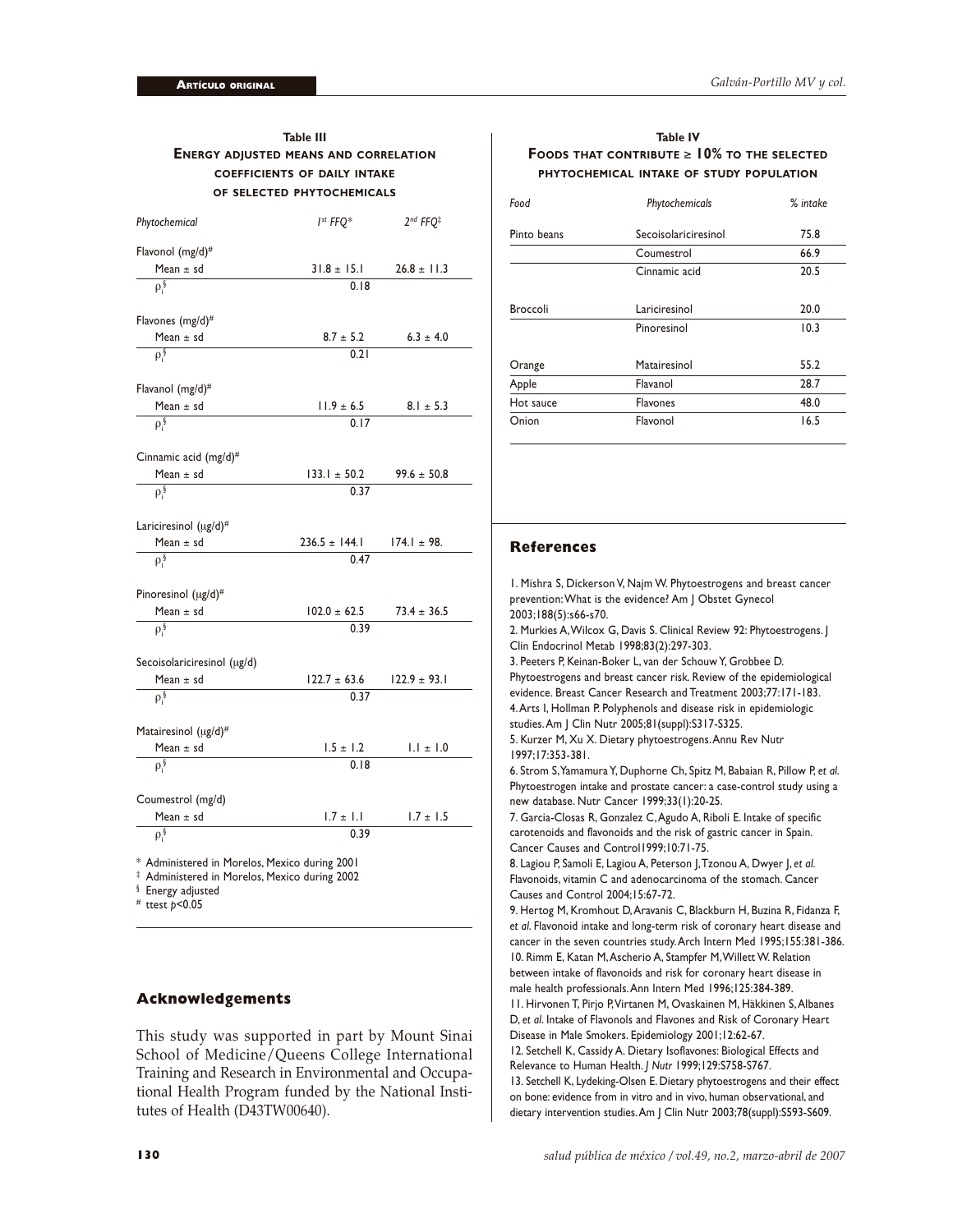| <b>Table III</b><br><b>ENERGY ADJUSTED MEANS AND CORRELATION</b>                                          |                          |                                  |  |  |
|-----------------------------------------------------------------------------------------------------------|--------------------------|----------------------------------|--|--|
|                                                                                                           |                          |                                  |  |  |
| <b>COEFFICIENTS OF DAILY INTAKE</b><br>OF SELECTED PHYTOCHEMICALS                                         |                          |                                  |  |  |
|                                                                                                           |                          |                                  |  |  |
| Phytochemical                                                                                             | $I^{st}$ FFO*            | 2 <sup>nd</sup> FFQ <sup>‡</sup> |  |  |
| Flavonol (mg/d)#                                                                                          |                          |                                  |  |  |
| Mean $\pm$ sd                                                                                             | $31.8 \pm 15.1$          | $26.8 \pm 11.3$                  |  |  |
| $\rho_i$                                                                                                  | 0.18                     |                                  |  |  |
| Flavones (mg/d)#                                                                                          |                          |                                  |  |  |
| Mean $\pm$ sd                                                                                             | $8.7 \pm 5.2$            | $6.3 \pm 4.0$                    |  |  |
| $\rho_i^{\S}$                                                                                             | 0.21                     |                                  |  |  |
|                                                                                                           |                          |                                  |  |  |
| Flavanol (mg/d)#                                                                                          |                          |                                  |  |  |
| Mean $\pm$ sd                                                                                             | $11.9 \pm 6.5$           | $8.1 \pm 5.3$                    |  |  |
| $\rho$ <sup>§</sup>                                                                                       | 0.17                     |                                  |  |  |
| Cinnamic acid (mg/d) <sup>#</sup>                                                                         |                          |                                  |  |  |
| Mean $\pm$ sd                                                                                             | $133.1 \pm 50.2$         | $99.6 \pm 50.8$                  |  |  |
| $\rho_i$                                                                                                  | 0.37                     |                                  |  |  |
|                                                                                                           |                          |                                  |  |  |
| Lariciresinol (ug/d)#                                                                                     |                          |                                  |  |  |
| Mean $\pm$ sd                                                                                             | $236.5 \pm 144.1$        | $174.1 \pm 98.$                  |  |  |
| $\rho_i$                                                                                                  | 0.47                     |                                  |  |  |
|                                                                                                           |                          |                                  |  |  |
| Pinoresinol (µg/d)#                                                                                       |                          |                                  |  |  |
| Mean $\pm$ sd                                                                                             | $102.0 \pm 62.5$<br>0.39 | $73.4 \pm 36.5$                  |  |  |
| $\rho_i^{\S}$                                                                                             |                          |                                  |  |  |
| Secoisolariciresinol (µg/d)                                                                               |                          |                                  |  |  |
| Mean $\pm$ sd                                                                                             | $122.7 \pm 63.6$         | $122.9 \pm 93.1$                 |  |  |
| $\rho_i^{\S}$                                                                                             | 0.37                     |                                  |  |  |
|                                                                                                           |                          |                                  |  |  |
| Matairesinol (ug/d)#                                                                                      |                          |                                  |  |  |
| Mean $\pm$ sd                                                                                             | $1.5 \pm 1.2$            | $1.1 \pm 1.0$                    |  |  |
| $\rho$ <sup>§</sup>                                                                                       | 0.18                     |                                  |  |  |
|                                                                                                           |                          |                                  |  |  |
| Coumestrol (mg/d)<br>Mean $\pm$ sd                                                                        | $1.7 \pm 1.1$            | $1.7 \pm 1.5$                    |  |  |
| $\rho_i^{\S}$                                                                                             | 0.39                     |                                  |  |  |
|                                                                                                           |                          |                                  |  |  |
| * Administered in Morelos, Mexico during 2001<br><sup>‡</sup> Administered in Morelos, Mexico during 2002 |                          |                                  |  |  |

§ Energy adjusted

# ttest *p*<0.05

## **Acknowledgements**

This study was supported in part by Mount Sinai School of Medicine/Queens College International Training and Research in Environmental and Occupational Health Program funded by the National Institutes of Health (D43TW00640).

## **Table IV FOODS THAT CONTRIBUTE** ≥ **10% TO THE SELECTED PHYTOCHEMICAL INTAKE OF STUDY POPULATION**

| Food            | Phytochemicals       | % intake |
|-----------------|----------------------|----------|
| Pinto beans     | Secoisolariciresinol | 75.8     |
|                 | Coumestrol           | 66.9     |
|                 | Cinnamic acid        | 20.5     |
| <b>Broccoli</b> | Lariciresinol        | 20.0     |
|                 | Pinoresinol          | 10.3     |
| Orange          | Matairesinol         | 55.2     |
| Apple           | Flavanol             | 28.7     |
| Hot sauce       | <b>Flavones</b>      | 48.0     |
| Onion           | Flavonol             | 16.5     |

## **References**

1. Mishra S, Dickerson V, Najm W. Phytoestrogens and breast cancer prevention: What is the evidence? Am J Obstet Gynecol 2003;188(5):s66-s70.

2. Murkies A, Wilcox G, Davis S. Clinical Review 92: Phytoestrogens. J Clin Endocrinol Metab 1998;83(2):297-303.

3. Peeters P, Keinan-Boker L, van der Schouw Y, Grobbee D. Phytoestrogens and breast cancer risk. Review of the epidemiological evidence. Breast Cancer Research and Treatment 2003;77:171-183. 4. Arts I, Hollman P. Polyphenols and disease risk in epidemiologic studies. Am J Clin Nutr 2005;81(suppl):S317-S325.

5. Kurzer M, Xu X. Dietary phytoestrogens. Annu Rev Nutr 1997;17:353-381.

6. Strom S, Yamamura Y, Duphorne Ch, Spitz M, Babaian R, Pillow P, *et al*. Phytoestrogen intake and prostate cancer: a case-control study using a new database. Nutr Cancer 1999;33(1):20-25.

7. Garcia-Closas R, Gonzalez C, Agudo A, Riboli E. Intake of specific carotenoids and flavonoids and the risk of gastric cancer in Spain. Cancer Causes and Control1999;10:71-75.

8. Lagiou P, Samoli E, Lagiou A, Peterson J, Tzonou A, Dwyer J, *et al*. Flavonoids, vitamin C and adenocarcinoma of the stomach. Cancer Causes and Control 2004;15:67-72.

9. Hertog M, Kromhout D, Aravanis C, Blackburn H, Buzina R, Fidanza F, *et al*. Flavonoid intake and long-term risk of coronary heart disease and cancer in the seven countries study. Arch Intern Med 1995;155:381-386. 10. Rimm E, Katan M, Ascherio A, Stampfer M, Willett W. Relation between intake of flavonoids and risk for coronary heart disease in male health professionals. Ann Intern Med 1996;125:384-389. 11. Hirvonen T, Pirjo P, Virtanen M, Ovaskainen M, Häkkinen S, Albanes D, *et al*. Intake of Flavonols and Flavones and Risk of Coronary Heart Disease in Male Smokers. Epidemiology 2001;12:62-67.

12. Setchell K, Cassidy A. Dietary Isoflavones: Biological Effects and Relevance to Human Health. *J Nutr* 1999;129:S758-S767.

13. Setchell K, Lydeking-Olsen E. Dietary phytoestrogens and their effect on bone: evidence from in vitro and in vivo, human observational, and dietary intervention studies. Am J Clin Nutr 2003;78(suppl):S593-S609.